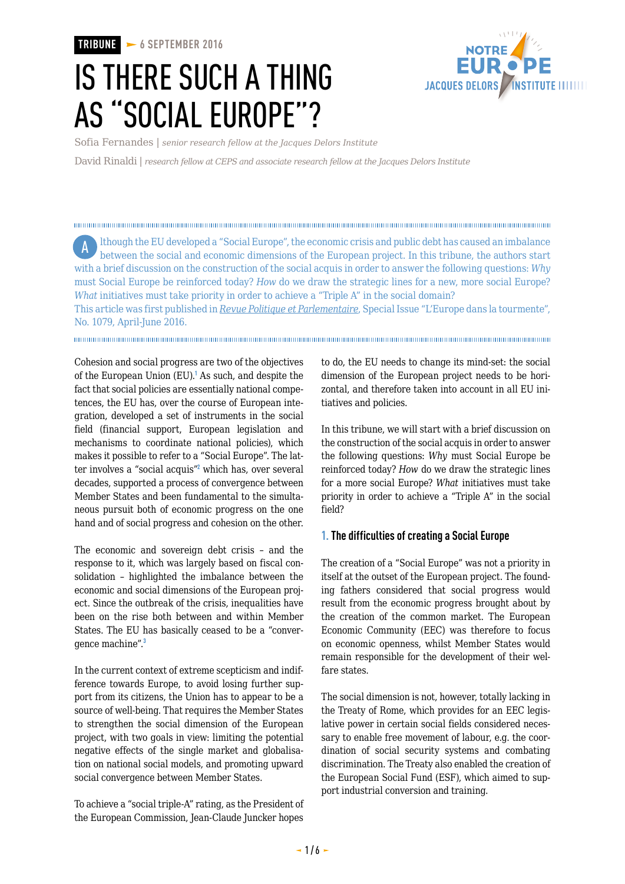**TRIBUNE 6 SEPTEMBER 2016**

# IS THERE SUCH A THING AS "SOCIAL EUROPE"?



Sofia Fernandes | *senior research fellow at the Jacques Delors Institute*

David Rinaldi | *research fellow at CEPS and associate research fellow at the Jacques Delors Institute*

lthough the EU developed a "Social Europe", the economic crisis and public debt has caused an imbalance between the social and economic dimensions of the European project. In this tribune, the authors start with a brief discussion on the construction of the social acquis in order to answer the following questions: *Why* must Social Europe be reinforced today? *How* do we draw the strategic lines for a new, more social Europe? *What* initiatives must take priority in order to achieve a "Triple A" in the social domain? A

This article was first published in *[Revue Politique et Parlementaire](http://www.revuepolitique.fr/leurope-sociale-existe-t/)*, Special Issue "L'Europe dans la tourmente", No. 1079, April-June 2016.

Cohesion and social progress are two of the objectives of the European Union (EU).<sup>1</sup> As such, and despite the fact that social policies are essentially national competences, the EU has, over the course of European integration, developed a set of instruments in the social field (financial support, European legislation and mechanisms to coordinate national policies), which makes it possible to refer to a "Social Europe". The latter involves a "social acquis"<sup>2</sup> which has, over several decades, supported a process of convergence between Member States and been fundamental to the simultaneous pursuit both of economic progress on the one hand and of social progress and cohesion on the other.

The economic and sovereign debt crisis – and the response to it, which was largely based on fiscal consolidation – highlighted the imbalance between the economic and social dimensions of the European project. Since the outbreak of the crisis, inequalities have been on the rise both between and within Member States. The EU has basically ceased to be a "convergence machine".<sup>3</sup>

In the current context of extreme scepticism and indifference towards Europe, to avoid losing further support from its citizens, the Union has to appear to be a source of well-being. That requires the Member States to strengthen the social dimension of the European project, with two goals in view: limiting the potential negative effects of the single market and globalisation on national social models, and promoting upward social convergence between Member States.

To achieve a "social triple-A" rating, as the President of the European Commission, Jean-Claude Juncker hopes to do, the EU needs to change its mind-set: the social dimension of the European project needs to be horizontal, and therefore taken into account in all EU initiatives and policies.

In this tribune, we will start with a brief discussion on the construction of the social acquis in order to answer the following questions: *Why* must Social Europe be reinforced today? *How* do we draw the strategic lines for a more social Europe? *What* initiatives must take priority in order to achieve a "Triple A" in the social field?

#### **1. The difficulties of creating a Social Europe**

The creation of a "Social Europe" was not a priority in itself at the outset of the European project. The founding fathers considered that social progress would result from the economic progress brought about by the creation of the common market. The European Economic Community (EEC) was therefore to focus on economic openness, whilst Member States would remain responsible for the development of their welfare states.

The social dimension is not, however, totally lacking in the Treaty of Rome, which provides for an EEC legislative power in certain social fields considered necessary to enable free movement of labour, e.g. the coordination of social security systems and combating discrimination. The Treaty also enabled the creation of the European Social Fund (ESF), which aimed to support industrial conversion and training.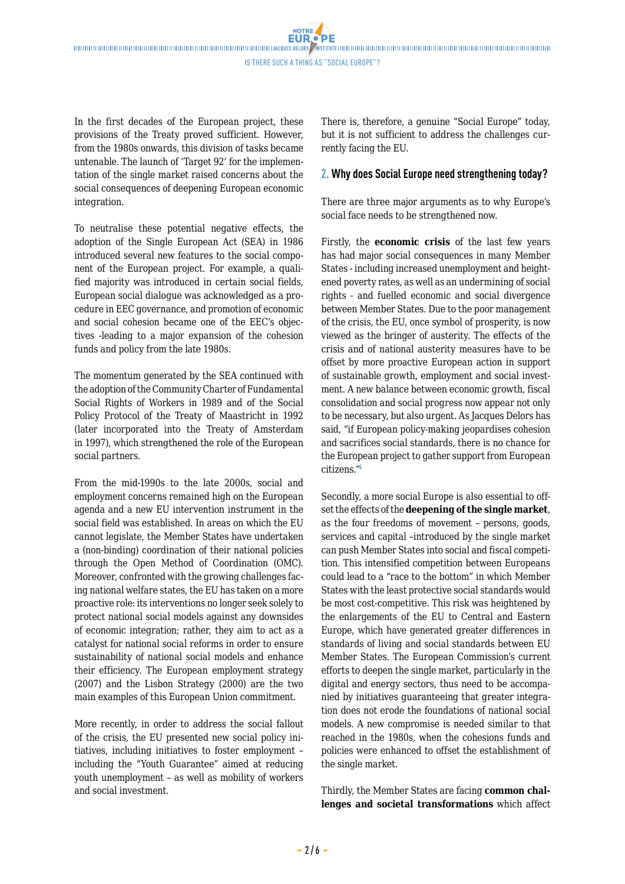**NOTRE** 

In the first decades of the European project, these provisions of the Treaty proved sufficient. However, from the 1980s onwards, this division of tasks became untenable. The launch of 'Target 92' for the implementation of the single market raised concerns about the social consequences of deepening European economic integration.

To neutralise these potential negative effects, the adoption of the Single European Act (SEA) in 1986 introduced several new features to the social component of the European project. For example, a qualified majority was introduced in certain social fields, European social dialogue was acknowledged as a procedure in EEC governance, and promotion of economic and social cohesion became one of the EEC's objectives -leading to a major expansion of the cohesion funds and policy from the late 1980s.

The momentum generated by the SEA continued with the adoption of the Community Charter of Fundamental Social Rights of Workers in 1989 and of the Social Policy Protocol of the Treaty of Maastricht in 1992 (later incorporated into the Treaty of Amsterdam in 1997), which strengthened the role of the European social partners.

From the mid-1990s to the late 2000s, social and employment concerns remained high on the European agenda and a new EU intervention instrument in the social field was established. In areas on which the EU cannot legislate, the Member States have undertaken a (non-binding) coordination of their national policies through the Open Method of Coordination (OMC). Moreover, confronted with the growing challenges facing national welfare states, the EU has taken on a more proactive role: its interventions no longer seek solely to protect national social models against any downsides of economic integration; rather, they aim to act as a catalyst for national social reforms in order to ensure sustainability of national social models and enhance their efficiency. The European employment strategy (2007) and the Lisbon Strategy (2000) are the two main examples of this European Union commitment.

More recently, in order to address the social fallout of the crisis, the EU presented new social policy initiatives, including initiatives to foster employment – including the "Youth Guarantee" aimed at reducing youth unemployment – as well as mobility of workers and social investment.

There is, therefore, a genuine "Social Europe" today, but it is not sufficient to address the challenges currently facing the EU.

### **2. Why does Social Europe need strengthening today?**

There are three major arguments as to why Europe's social face needs to be strengthened now.

Firstly, the **economic crisis** of the last few years has had major social consequences in many Member States - including increased unemployment and heightened poverty rates, as well as an undermining of social rights - and fuelled economic and social divergence between Member States. Due to the poor management of the crisis, the EU, once symbol of prosperity, is now viewed as the bringer of austerity. The effects of the crisis and of national austerity measures have to be offset by more proactive European action in support of sustainable growth, employment and social investment. A new balance between economic growth, fiscal consolidation and social progress now appear not only to be necessary, but also urgent. As Jacques Delors has said, "if European policy-making jeopardises cohesion and sacrifices social standards, there is no chance for the European project to gather support from European citizens."<sup>4</sup>

Secondly, a more social Europe is also essential to offset the effects of the **deepening of the single market**, as the four freedoms of movement – persons, goods, services and capital –introduced by the single market can push Member States into social and fiscal competition. This intensified competition between Europeans could lead to a "race to the bottom" in which Member States with the least protective social standards would be most cost-competitive. This risk was heightened by the enlargements of the EU to Central and Eastern Europe, which have generated greater differences in standards of living and social standards between EU Member States. The European Commission's current efforts to deepen the single market, particularly in the digital and energy sectors, thus need to be accompanied by initiatives guaranteeing that greater integration does not erode the foundations of national social models. A new compromise is needed similar to that reached in the 1980s, when the cohesions funds and policies were enhanced to offset the establishment of the single market.

Thirdly, the Member States are facing **common challenges and societal transformations** which affect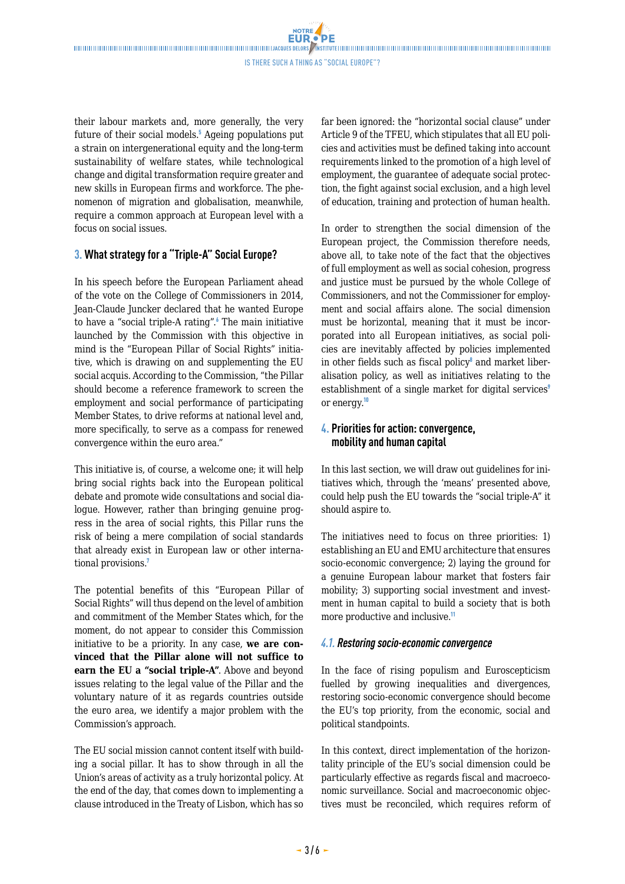**NOTRE** 

their labour markets and, more generally, the very future of their social models.<sup>5</sup> Ageing populations put a strain on intergenerational equity and the long-term sustainability of welfare states, while technological change and digital transformation require greater and new skills in European firms and workforce. The phenomenon of migration and globalisation, meanwhile, require a common approach at European level with a focus on social issues.

## **3. What strategy for a "Triple-A" Social Europe?**

In his speech before the European Parliament ahead of the vote on the College of Commissioners in 2014, Jean-Claude Juncker declared that he wanted Europe to have a "social triple-A rating".<sup>6</sup> The main initiative launched by the Commission with this objective in mind is the "European Pillar of Social Rights" initiative, which is drawing on and supplementing the EU social acquis. According to the Commission, "the Pillar should become a reference framework to screen the employment and social performance of participating Member States, to drive reforms at national level and, more specifically, to serve as a compass for renewed convergence within the euro area."

This initiative is, of course, a welcome one; it will help bring social rights back into the European political debate and promote wide consultations and social dialogue. However, rather than bringing genuine progress in the area of social rights, this Pillar runs the risk of being a mere compilation of social standards that already exist in European law or other international provisions.<sup>7</sup>

The potential benefits of this "European Pillar of Social Rights" will thus depend on the level of ambition and commitment of the Member States which, for the moment, do not appear to consider this Commission initiative to be a priority. In any case, **we are convinced that the Pillar alone will not suffice to earn the EU a "social triple-A"**. Above and beyond issues relating to the legal value of the Pillar and the voluntary nature of it as regards countries outside the euro area, we identify a major problem with the Commission's approach.

The EU social mission cannot content itself with building a social pillar. It has to show through in all the Union's areas of activity as a truly horizontal policy. At the end of the day, that comes down to implementing a clause introduced in the Treaty of Lisbon, which has so far been ignored: the "horizontal social clause" under Article 9 of the TFEU, which stipulates that all EU policies and activities must be defined taking into account requirements linked to the promotion of a high level of employment, the guarantee of adequate social protection, the fight against social exclusion, and a high level of education, training and protection of human health.

In order to strengthen the social dimension of the European project, the Commission therefore needs, above all, to take note of the fact that the objectives of full employment as well as social cohesion, progress and justice must be pursued by the whole College of Commissioners, and not the Commissioner for employment and social affairs alone. The social dimension must be horizontal, meaning that it must be incorporated into all European initiatives, as social policies are inevitably affected by policies implemented in other fields such as fiscal policy<sup>®</sup> and market liberalisation policy, as well as initiatives relating to the establishment of a single market for digital services<sup>9</sup> or energy.<sup>10</sup>

## **4. Priorities for action: convergence, mobility and human capital**

In this last section, we will draw out guidelines for initiatives which, through the 'means' presented above, could help push the EU towards the "social triple-A" it should aspire to.

The initiatives need to focus on three priorities: 1) establishing an EU and EMU architecture that ensures socio-economic convergence; 2) laying the ground for a genuine European labour market that fosters fair mobility; 3) supporting social investment and investment in human capital to build a society that is both more productive and inclusive.<sup>11</sup>

## *4.1. Restoring socio-economic convergence*

In the face of rising populism and Euroscepticism fuelled by growing inequalities and divergences, restoring socio-economic convergence should become the EU's top priority, from the economic, social and political standpoints.

In this context, direct implementation of the horizontality principle of the EU's social dimension could be particularly effective as regards fiscal and macroeconomic surveillance. Social and macroeconomic objectives must be reconciled, which requires reform of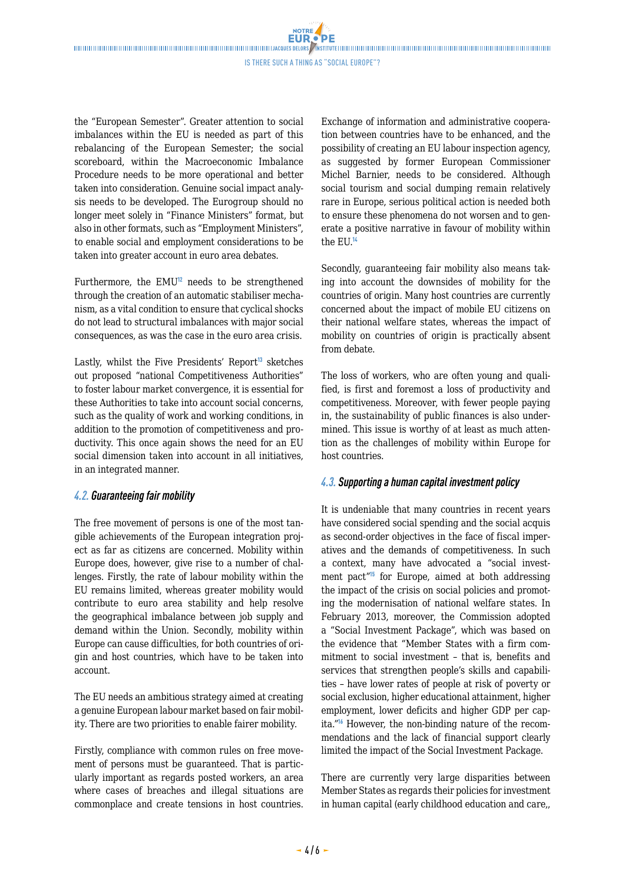**NOTRE** 

the "European Semester". Greater attention to social imbalances within the EU is needed as part of this rebalancing of the European Semester; the social scoreboard, within the Macroeconomic Imbalance Procedure needs to be more operational and better taken into consideration. Genuine social impact analysis needs to be developed. The Eurogroup should no longer meet solely in "Finance Ministers" format, but also in other formats, such as "Employment Ministers", to enable social and employment considerations to be taken into greater account in euro area debates.

Furthermore, the  $EMU<sup>12</sup>$  needs to be strengthened through the creation of an automatic stabiliser mechanism, as a vital condition to ensure that cyclical shocks do not lead to structural imbalances with major social consequences, as was the case in the euro area crisis.

Lastly, whilst the Five Presidents' Report<sup>13</sup> sketches out proposed "national Competitiveness Authorities" to foster labour market convergence, it is essential for these Authorities to take into account social concerns, such as the quality of work and working conditions, in addition to the promotion of competitiveness and productivity. This once again shows the need for an EU social dimension taken into account in all initiatives, in an integrated manner.

#### *4.2. Guaranteeing fair mobility*

The free movement of persons is one of the most tangible achievements of the European integration project as far as citizens are concerned. Mobility within Europe does, however, give rise to a number of challenges. Firstly, the rate of labour mobility within the EU remains limited, whereas greater mobility would contribute to euro area stability and help resolve the geographical imbalance between job supply and demand within the Union. Secondly, mobility within Europe can cause difficulties, for both countries of origin and host countries, which have to be taken into account.

The EU needs an ambitious strategy aimed at creating a genuine European labour market based on fair mobility. There are two priorities to enable fairer mobility.

Firstly, compliance with common rules on free movement of persons must be guaranteed. That is particularly important as regards posted workers, an area where cases of breaches and illegal situations are commonplace and create tensions in host countries.

Exchange of information and administrative cooperation between countries have to be enhanced, and the possibility of creating an EU labour inspection agency, as suggested by former European Commissioner Michel Barnier, needs to be considered. Although social tourism and social dumping remain relatively rare in Europe, serious political action is needed both to ensure these phenomena do not worsen and to generate a positive narrative in favour of mobility within the  $EU$ .<sup>14</sup>

Secondly, guaranteeing fair mobility also means taking into account the downsides of mobility for the countries of origin. Many host countries are currently concerned about the impact of mobile EU citizens on their national welfare states, whereas the impact of mobility on countries of origin is practically absent from debate.

The loss of workers, who are often young and qualified, is first and foremost a loss of productivity and competitiveness. Moreover, with fewer people paying in, the sustainability of public finances is also undermined. This issue is worthy of at least as much attention as the challenges of mobility within Europe for host countries.

## *4.3. Supporting a human capital investment policy*

It is undeniable that many countries in recent years have considered social spending and the social acquis as second-order objectives in the face of fiscal imperatives and the demands of competitiveness. In such a context, many have advocated a "social investment pact"<sup>15</sup> for Europe, aimed at both addressing the impact of the crisis on social policies and promoting the modernisation of national welfare states. In February 2013, moreover, the Commission adopted a "Social Investment Package", which was based on the evidence that "Member States with a firm commitment to social investment – that is, benefits and services that strengthen people's skills and capabilities – have lower rates of people at risk of poverty or social exclusion, higher educational attainment, higher employment, lower deficits and higher GDP per capita."<sup>16</sup> However, the non-binding nature of the recommendations and the lack of financial support clearly limited the impact of the Social Investment Package.

There are currently very large disparities between Member States as regards their policies for investment in human capital (early childhood education and care,,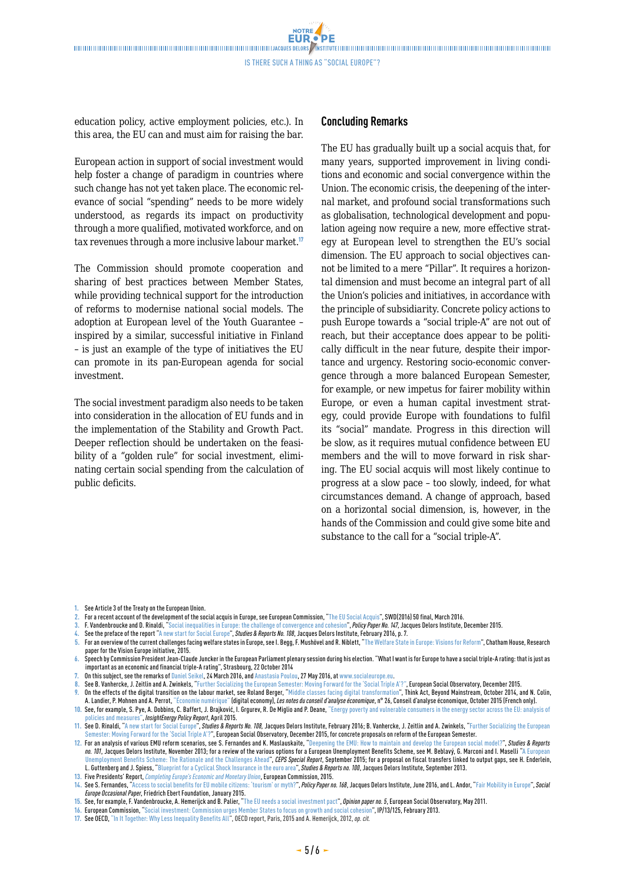NOTRE **FUR** 

Is there such a thing as "Social Europe"?

**DF** 

education policy, active employment policies, etc.). In this area, the EU can and must aim for raising the bar.

European action in support of social investment would help foster a change of paradigm in countries where such change has not yet taken place. The economic relevance of social "spending" needs to be more widely understood, as regards its impact on productivity through a more qualified, motivated workforce, and on tax revenues through a more inclusive labour market.<sup>17</sup>

The Commission should promote cooperation and sharing of best practices between Member States, while providing technical support for the introduction of reforms to modernise national social models. The adoption at European level of the Youth Guarantee – inspired by a similar, successful initiative in Finland – is just an example of the type of initiatives the EU can promote in its pan-European agenda for social investment.

The social investment paradigm also needs to be taken into consideration in the allocation of EU funds and in the implementation of the Stability and Growth Pact. Deeper reflection should be undertaken on the feasibility of a "golden rule" for social investment, eliminating certain social spending from the calculation of public deficits.

#### **Concluding Remarks**

The EU has gradually built up a social acquis that, for many years, supported improvement in living conditions and economic and social convergence within the Union. The economic crisis, the deepening of the internal market, and profound social transformations such as globalisation, technological development and population ageing now require a new, more effective strategy at European level to strengthen the EU's social dimension. The EU approach to social objectives cannot be limited to a mere "Pillar". It requires a horizontal dimension and must become an integral part of all the Union's policies and initiatives, in accordance with the principle of subsidiarity. Concrete policy actions to push Europe towards a "social triple-A" are not out of reach, but their acceptance does appear to be politically difficult in the near future, despite their importance and urgency. Restoring socio-economic convergence through a more balanced European Semester, for example, or new impetus for fairer mobility within Europe, or even a human capital investment strategy, could provide Europe with foundations to fulfil its "social" mandate. Progress in this direction will be slow, as it requires mutual confidence between EU members and the will to move forward in risk sharing. The EU social acquis will most likely continue to progress at a slow pace – too slowly, indeed, for what circumstances demand. A change of approach, based on a horizontal social dimension, is, however, in the hands of the Commission and could give some bite and substance to the call for a "social triple-A".

- **1.** See Article3 of the Treaty on the European Union.
- **2.** For a recent account of the development of the social acquis in Europe, see European Commission, ["The EU Social Acquis"](http://ec.europa.eu/social/BlobServlet?docId=15292&langId=en), SWD(2016) 50 final, March2016.
- **3.** F. Vandenbroucke and D. Rinaldi, "[Social inequalities in Europe: the challenge of convergence and cohesion"](http://www.delorsinstitute.eu/media/pp147socialinequalitiesvesrinaldivandenbrouckejdidec2015.pdf?pdf=ok), *Policy Paper No.147*, Jacques Delors Institute, December 2015.
- **4.** See the preface of the report ["A new start for Social Europe"](http://www.delorsinstitute.eu/media/newstartsocialeurope-rinaldi-jdi-feb16.pdf?pdf=ok), *Studies & Reports No.108*, Jacques Delors Institute, February 2016, p.7.
- **5.** For an overview of the current challenges facing welfare states in Europe, seeI. Begg, F. Mushövel and R. Niblett, "[The Welfare State in Europe: Visions for Reform](https://www.chathamhouse.org/publication/welfare-state-europe-visions-reform)", Chatham House, Research paper for the Vision Europe initiative, 2015.
- **6.** Speech by Commission President Jean-Claude Juncker in the European Parliament plenary session during his election. "What I want is for Europe to have a social triple-A rating: that is just as important as an economic and financial triple-A rating", Strasbourg, 22 October2014
- **7.** On this subject, see the remarks of [Daniel Seikel](https://www.socialeurope.eu/2016/03/european-pillar-social-rights-no-social-triple-europe/), 24 March2016, and [Anastasia Poulou,](https://www.socialeurope.eu/author/anastasia-poulou/) 27 May2016, at www.socialeurope.eu.
- **8.** See B. Vanhercke, J. Zeitlin and A. Zwinkels, "[Further Socializing the European Semester: Moving Forward for the 'Social Triple A'?"](http://www.ose.be/files/publication/2015/vanhercke_zeitlin_2015_EuropeanSemester_report_dec15.pdf), European Social Observatory, December2015.
- **9.** On the effects of the digital transition on the labour market, see Roland Berger, "[Middle classes facing digital transformation](http://www.rolandberger.fr/media/pdf/Roland_Berger_TAB_Transformation_Digitale-20141030.pdf)", Think Act, Beyond Mainstream, October 2014, and N. Colin, A. Landier, P. Mohnen and A. Perrot, ["Économie numérique"](http://www.cae-eco.fr/IMG/pdf/cae-note026.pdf) (digital economy), *Les notes du conseil d'analyse économique*, n° 26, Conseil d'analyse économique, October2015 (French only).
- **10.** See, for example, S. Pye, A. Dobbins, C. Baffert, J. Brajković, I. Grgurev, R. De Miglio and P. Deane, "[Energy poverty and vulnerable consumers in the energy sector across the EU: analysis of](https://ec.europa.eu/energy/sites/ener/files/documents/INSIGHT_E_Energy%20Poverty%20-%20Main%20Report_FINAL.pdf) [policies and measures](https://ec.europa.eu/energy/sites/ener/files/documents/INSIGHT_E_Energy%20Poverty%20-%20Main%20Report_FINAL.pdf)", *InsightEnergy Policy Report*, April2015.
- **11.** See D. Rinaldi, ["A new start for Social Europe](http://www.delorsinstitute.eu/media/newstartsocialeurope-rinaldi-jdi-feb16.pdf?pdf=ok)", *Studies & Reports No. 108,* Jacques Delors Institute, February 2016; B. Vanhercke, J. Zeitlin and A. Zwinkels, "[Further Socializing the European](http://www.ose.be/files/publication/2015/vanhercke_zeitlin_2015_EuropeanSemester_report_dec15.pdf)  [Semester: Moving Forward for the 'Social Triple A'?"](http://www.ose.be/files/publication/2015/vanhercke_zeitlin_2015_EuropeanSemester_report_dec15.pdf), European Social Observatory, December2015, for concrete proposals on reform of the European Semester. **12.** For an analysis of various EMU reform scenarios, see S. Fernandes and K. Maslauskaite, "[Deepening the EMU: How to maintain and develop the European social model?"](http://www.delorsinstitute.eu/media/deepeningtheemu-fernandesmaslauskaitene-jdioct2013.pdf?pdf=ok), *Studies & Reports*
- *no. 101*, Jacques Delors Institute, November 2013; for a review of the various options for a European Unemployment Benefits Scheme, see M. Beblavý, G. Marconi and I. Maselli "[A European](https://www.ceps.eu/publications/european-unemployment-benefits-scheme-rationale-and-challenges-ahead)  ent Benefits Scheme: The Rationale and the Challenges Ahead", *CEPS Special Report*, September 2015; for a proposal on fiscal transfers linked to output gaps, see H. Enderlein, L. Guttenberg and J. Spiess, "[Blueprint for a Cyclical Shock Insurance in the euro area"](http://www.delorsinstitute.eu/011-16659-Blueprint-for-a-Cyclical-Shock-Insurance-in-the-euro-area.html), *Studies & Reports no.100*, Jacques Delors Institute, September2013.
- **13.** Five Presidents' Report, *[Completing Europe's Economic and Monetary Union](http://ec.europa.eu/priorities/sites/beta-political/files/5-presidents-report_en.pdf)*, European Commission, 2015.
- **14.** See S.Fernandes, ["Access to social benefits for EU mobile citizens: 'tourism' or myth?](http://www.delorsinstitute.eu/media/socialbenefitseumobilecitizens-fernandes-jdi-june16.pdf?pdf=ok)", *Policy Paper no.168*, Jacques Delors Institute, June2016, and L. Andor, "[Fair Mobility in Europe"](http://www.socialeurope.eu/wp-content/uploads/2015/01/OP7.pdf), *Social Europe Occasional Paper*, Friedrich Ebert Foundation, January2015.
- **15.** See, for example,F. Vandenbroucke, A. Hemerijck and B. Palier, ["The EU needs a social investment pact"](http://www.ose.be/files/OpinionPaper5_Vandenbroucke-Hemerijk-Palier_2011.pdf), *Opinion paper no.5*, European Social Observatory, May2011.

**17.** See OECD, ["In It Together: Why Less Inequality Benefits All"](http://www.oecd.org/social/in-it-together-why-less-inequality-benefits-all-9789264235120-en.htm), OECD report, Paris, 2015 and A. Hemerijck, 2012, *op. cit.*

**<sup>16.</sup>** European Commission, "[Social investment: Commission urges Member States to focus on growth and social cohesion](http://ec.europa.eu/social/main.jsp?langId=en&catId=750&newsId=1807&furtherNews=yes)", IP/13/125, February2013.